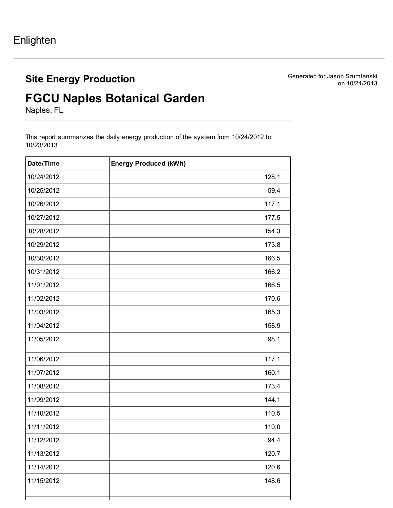## Site Energy Production

Generated for Jason Szumlanski on 10/24/2013

## FGCU Naples Botanical Garden

Naples, FL

This report summarizes the daily energy production of the system from 10/24/2012 to 10/23/2013.

| Date/Time  | <b>Energy Produced (kWh)</b> |
|------------|------------------------------|
| 10/24/2012 | 128.1                        |
| 10/25/2012 | 59.4                         |
| 10/26/2012 | 117.1                        |
| 10/27/2012 | 177.5                        |
| 10/28/2012 | 154.3                        |
| 10/29/2012 | 173.8                        |
| 10/30/2012 | 166.5                        |
| 10/31/2012 | 166.2                        |
| 11/01/2012 | 166.5                        |
| 11/02/2012 | 170.6                        |
| 11/03/2012 | 165.3                        |
| 11/04/2012 | 158.9                        |
| 11/05/2012 | 98.1                         |
| 11/06/2012 | 117.1                        |
| 11/07/2012 | 160.1                        |
| 11/08/2012 | 173.4                        |
| 11/09/2012 | 144.1                        |
| 11/10/2012 | 110.5                        |
| 11/11/2012 | 110.0                        |
| 11/12/2012 | 94.4                         |
| 11/13/2012 | 120.7                        |
| 11/14/2012 | 120.6                        |
| 11/15/2012 | 148.6                        |
|            |                              |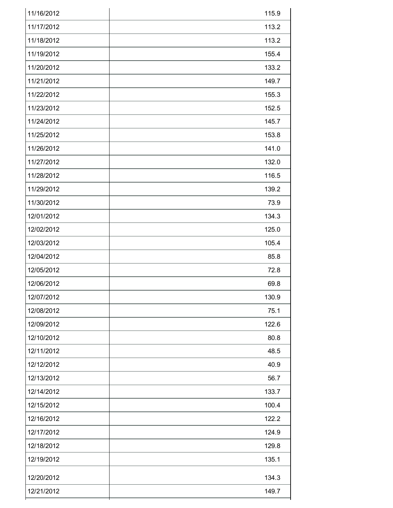| 11/16/2012 | 115.9 |
|------------|-------|
| 11/17/2012 | 113.2 |
| 11/18/2012 | 113.2 |
| 11/19/2012 | 155.4 |
| 11/20/2012 | 133.2 |
| 11/21/2012 | 149.7 |
| 11/22/2012 | 155.3 |
| 11/23/2012 | 152.5 |
| 11/24/2012 | 145.7 |
| 11/25/2012 | 153.8 |
| 11/26/2012 | 141.0 |
| 11/27/2012 | 132.0 |
| 11/28/2012 | 116.5 |
| 11/29/2012 | 139.2 |
| 11/30/2012 | 73.9  |
| 12/01/2012 | 134.3 |
| 12/02/2012 | 125.0 |
| 12/03/2012 | 105.4 |
| 12/04/2012 | 85.8  |
| 12/05/2012 | 72.8  |
| 12/06/2012 | 69.8  |
| 12/07/2012 | 130.9 |
| 12/08/2012 | 75.1  |
| 12/09/2012 | 122.6 |
| 12/10/2012 | 80.8  |
| 12/11/2012 | 48.5  |
| 12/12/2012 | 40.9  |
| 12/13/2012 | 56.7  |
| 12/14/2012 | 133.7 |
| 12/15/2012 | 100.4 |
| 12/16/2012 | 122.2 |
| 12/17/2012 | 124.9 |
| 12/18/2012 | 129.8 |
| 12/19/2012 | 135.1 |
| 12/20/2012 | 134.3 |
| 12/21/2012 | 149.7 |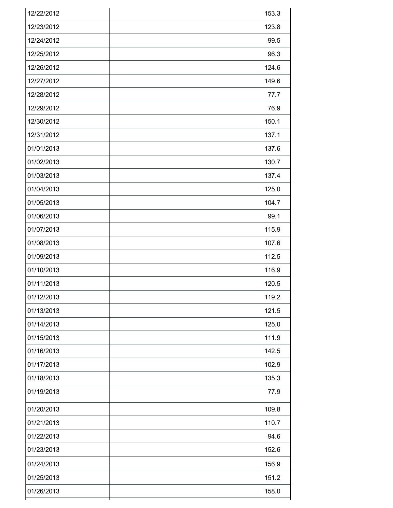| 12/22/2012 | 153.3 |
|------------|-------|
| 12/23/2012 | 123.8 |
| 12/24/2012 | 99.5  |
| 12/25/2012 | 96.3  |
| 12/26/2012 | 124.6 |
| 12/27/2012 | 149.6 |
| 12/28/2012 | 77.7  |
| 12/29/2012 | 76.9  |
| 12/30/2012 | 150.1 |
| 12/31/2012 | 137.1 |
| 01/01/2013 | 137.6 |
| 01/02/2013 | 130.7 |
| 01/03/2013 | 137.4 |
| 01/04/2013 | 125.0 |
| 01/05/2013 | 104.7 |
| 01/06/2013 | 99.1  |
| 01/07/2013 | 115.9 |
| 01/08/2013 | 107.6 |
| 01/09/2013 | 112.5 |
| 01/10/2013 | 116.9 |
| 01/11/2013 | 120.5 |
| 01/12/2013 | 119.2 |
| 01/13/2013 | 121.5 |
| 01/14/2013 | 125.0 |
| 01/15/2013 | 111.9 |
| 01/16/2013 | 142.5 |
| 01/17/2013 | 102.9 |
| 01/18/2013 | 135.3 |
| 01/19/2013 | 77.9  |
| 01/20/2013 | 109.8 |
| 01/21/2013 | 110.7 |
| 01/22/2013 | 94.6  |
| 01/23/2013 | 152.6 |
| 01/24/2013 | 156.9 |
| 01/25/2013 | 151.2 |
| 01/26/2013 | 158.0 |
|            |       |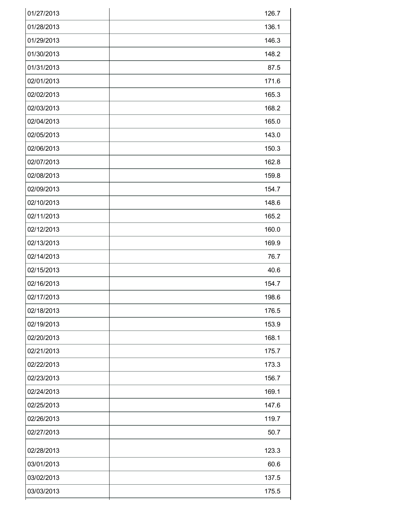| 01/27/2013 | 126.7 |
|------------|-------|
| 01/28/2013 | 136.1 |
| 01/29/2013 | 146.3 |
| 01/30/2013 | 148.2 |
| 01/31/2013 | 87.5  |
| 02/01/2013 | 171.6 |
| 02/02/2013 | 165.3 |
| 02/03/2013 | 168.2 |
| 02/04/2013 | 165.0 |
| 02/05/2013 | 143.0 |
| 02/06/2013 | 150.3 |
| 02/07/2013 | 162.8 |
| 02/08/2013 | 159.8 |
| 02/09/2013 | 154.7 |
| 02/10/2013 | 148.6 |
| 02/11/2013 | 165.2 |
| 02/12/2013 | 160.0 |
| 02/13/2013 | 169.9 |
| 02/14/2013 | 76.7  |
| 02/15/2013 | 40.6  |
| 02/16/2013 | 154.7 |
| 02/17/2013 | 198.6 |
| 02/18/2013 | 176.5 |
| 02/19/2013 | 153.9 |
| 02/20/2013 | 168.1 |
| 02/21/2013 | 175.7 |
| 02/22/2013 | 173.3 |
| 02/23/2013 | 156.7 |
| 02/24/2013 | 169.1 |
| 02/25/2013 | 147.6 |
| 02/26/2013 | 119.7 |
| 02/27/2013 | 50.7  |
| 02/28/2013 | 123.3 |
| 03/01/2013 | 60.6  |
| 03/02/2013 | 137.5 |
| 03/03/2013 | 175.5 |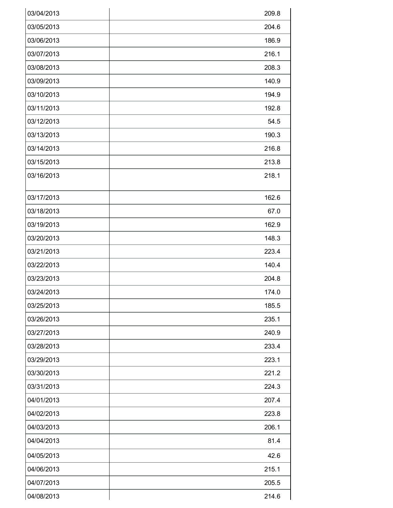| 03/04/2013 | 209.8 |
|------------|-------|
| 03/05/2013 | 204.6 |
| 03/06/2013 | 186.9 |
| 03/07/2013 | 216.1 |
| 03/08/2013 | 208.3 |
| 03/09/2013 | 140.9 |
| 03/10/2013 | 194.9 |
| 03/11/2013 | 192.8 |
| 03/12/2013 | 54.5  |
| 03/13/2013 | 190.3 |
| 03/14/2013 | 216.8 |
| 03/15/2013 | 213.8 |
| 03/16/2013 | 218.1 |
| 03/17/2013 | 162.6 |
| 03/18/2013 | 67.0  |
| 03/19/2013 | 162.9 |
| 03/20/2013 | 148.3 |
| 03/21/2013 | 223.4 |
| 03/22/2013 | 140.4 |
| 03/23/2013 | 204.8 |
| 03/24/2013 | 174.0 |
| 03/25/2013 | 185.5 |
| 03/26/2013 | 235.1 |
| 03/27/2013 | 240.9 |
| 03/28/2013 | 233.4 |
| 03/29/2013 | 223.1 |
| 03/30/2013 | 221.2 |
| 03/31/2013 | 224.3 |
| 04/01/2013 | 207.4 |
| 04/02/2013 | 223.8 |
| 04/03/2013 | 206.1 |
| 04/04/2013 | 81.4  |
| 04/05/2013 | 42.6  |
| 04/06/2013 | 215.1 |
| 04/07/2013 | 205.5 |
| 04/08/2013 | 214.6 |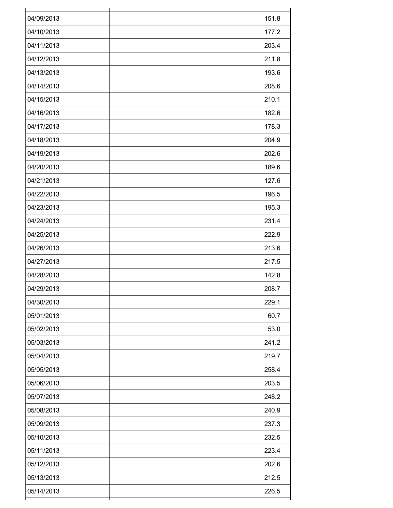| 04/09/2013 | 151.8 |
|------------|-------|
| 04/10/2013 | 177.2 |
| 04/11/2013 | 203.4 |
| 04/12/2013 | 211.8 |
| 04/13/2013 | 193.6 |
| 04/14/2013 | 208.6 |
| 04/15/2013 | 210.1 |
| 04/16/2013 | 182.6 |
| 04/17/2013 | 178.3 |
| 04/18/2013 | 204.9 |
| 04/19/2013 | 202.6 |
| 04/20/2013 | 189.6 |
| 04/21/2013 | 127.6 |
| 04/22/2013 | 196.5 |
| 04/23/2013 | 195.3 |
| 04/24/2013 | 231.4 |
| 04/25/2013 | 222.9 |
| 04/26/2013 | 213.6 |
| 04/27/2013 | 217.5 |
| 04/28/2013 | 142.8 |
| 04/29/2013 | 208.7 |
| 04/30/2013 | 229.1 |
| 05/01/2013 | 60.7  |
| 05/02/2013 | 53.0  |
| 05/03/2013 | 241.2 |
| 05/04/2013 | 219.7 |
| 05/05/2013 | 258.4 |
| 05/06/2013 | 203.5 |
| 05/07/2013 | 248.2 |
| 05/08/2013 | 240.9 |
| 05/09/2013 | 237.3 |
| 05/10/2013 | 232.5 |
| 05/11/2013 | 223.4 |
| 05/12/2013 | 202.6 |
| 05/13/2013 | 212.5 |
| 05/14/2013 | 226.5 |
|            |       |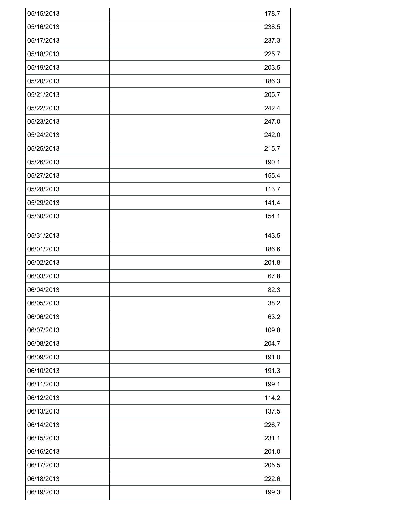| 05/15/2013 | 178.7 |
|------------|-------|
| 05/16/2013 | 238.5 |
| 05/17/2013 | 237.3 |
| 05/18/2013 | 225.7 |
| 05/19/2013 | 203.5 |
| 05/20/2013 | 186.3 |
| 05/21/2013 | 205.7 |
| 05/22/2013 | 242.4 |
| 05/23/2013 | 247.0 |
| 05/24/2013 | 242.0 |
| 05/25/2013 | 215.7 |
| 05/26/2013 | 190.1 |
| 05/27/2013 | 155.4 |
| 05/28/2013 | 113.7 |
| 05/29/2013 | 141.4 |
| 05/30/2013 | 154.1 |
| 05/31/2013 | 143.5 |
| 06/01/2013 | 186.6 |
| 06/02/2013 | 201.8 |
| 06/03/2013 | 67.8  |
| 06/04/2013 | 82.3  |
| 06/05/2013 | 38.2  |
| 06/06/2013 | 63.2  |
| 06/07/2013 | 109.8 |
| 06/08/2013 | 204.7 |
| 06/09/2013 | 191.0 |
| 06/10/2013 | 191.3 |
| 06/11/2013 | 199.1 |
| 06/12/2013 | 114.2 |
| 06/13/2013 | 137.5 |
| 06/14/2013 | 226.7 |
| 06/15/2013 | 231.1 |
| 06/16/2013 | 201.0 |
| 06/17/2013 | 205.5 |
| 06/18/2013 | 222.6 |
| 06/19/2013 | 199.3 |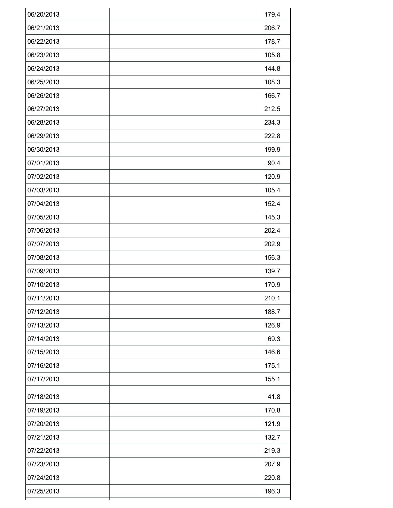| 06/20/2013 | 179.4 |
|------------|-------|
| 06/21/2013 | 206.7 |
| 06/22/2013 | 178.7 |
| 06/23/2013 | 105.8 |
| 06/24/2013 | 144.8 |
| 06/25/2013 | 108.3 |
| 06/26/2013 | 166.7 |
| 06/27/2013 | 212.5 |
| 06/28/2013 | 234.3 |
| 06/29/2013 | 222.8 |
| 06/30/2013 | 199.9 |
| 07/01/2013 | 90.4  |
| 07/02/2013 | 120.9 |
| 07/03/2013 | 105.4 |
| 07/04/2013 | 152.4 |
| 07/05/2013 | 145.3 |
| 07/06/2013 | 202.4 |
| 07/07/2013 | 202.9 |
| 07/08/2013 | 156.3 |
| 07/09/2013 | 139.7 |
| 07/10/2013 | 170.9 |
| 07/11/2013 | 210.1 |
| 07/12/2013 | 188.7 |
| 07/13/2013 | 126.9 |
| 07/14/2013 | 69.3  |
| 07/15/2013 | 146.6 |
| 07/16/2013 | 175.1 |
| 07/17/2013 | 155.1 |
| 07/18/2013 | 41.8  |
| 07/19/2013 | 170.8 |
| 07/20/2013 | 121.9 |
| 07/21/2013 | 132.7 |
| 07/22/2013 | 219.3 |
| 07/23/2013 | 207.9 |
| 07/24/2013 | 220.8 |
| 07/25/2013 | 196.3 |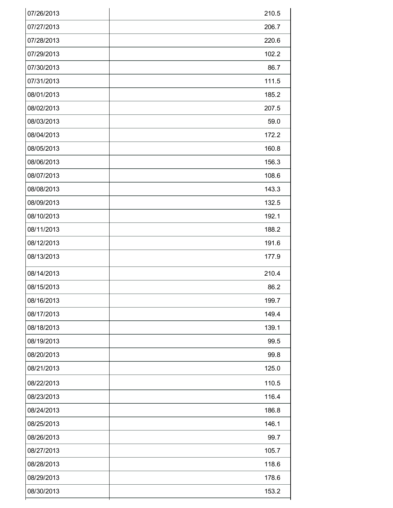| 07/26/2013 | 210.5 |
|------------|-------|
| 07/27/2013 | 206.7 |
| 07/28/2013 | 220.6 |
| 07/29/2013 | 102.2 |
| 07/30/2013 | 86.7  |
| 07/31/2013 | 111.5 |
| 08/01/2013 | 185.2 |
| 08/02/2013 | 207.5 |
| 08/03/2013 | 59.0  |
| 08/04/2013 | 172.2 |
| 08/05/2013 | 160.8 |
| 08/06/2013 | 156.3 |
| 08/07/2013 | 108.6 |
| 08/08/2013 | 143.3 |
| 08/09/2013 | 132.5 |
| 08/10/2013 | 192.1 |
| 08/11/2013 | 188.2 |
| 08/12/2013 | 191.6 |
| 08/13/2013 | 177.9 |
| 08/14/2013 | 210.4 |
| 08/15/2013 | 86.2  |
| 08/16/2013 | 199.7 |
| 08/17/2013 | 149.4 |
| 08/18/2013 | 139.1 |
| 08/19/2013 | 99.5  |
| 08/20/2013 | 99.8  |
| 08/21/2013 | 125.0 |
| 08/22/2013 | 110.5 |
| 08/23/2013 | 116.4 |
| 08/24/2013 | 186.8 |
| 08/25/2013 | 146.1 |
| 08/26/2013 | 99.7  |
| 08/27/2013 | 105.7 |
| 08/28/2013 | 118.6 |
| 08/29/2013 | 178.6 |
| 08/30/2013 | 153.2 |
|            |       |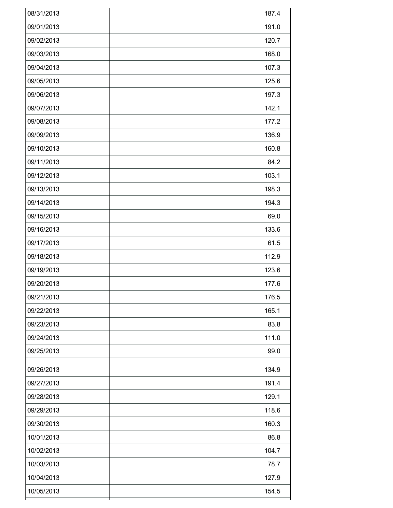| 08/31/2013 | 187.4 |
|------------|-------|
| 09/01/2013 | 191.0 |
| 09/02/2013 | 120.7 |
| 09/03/2013 | 168.0 |
| 09/04/2013 | 107.3 |
| 09/05/2013 | 125.6 |
| 09/06/2013 | 197.3 |
| 09/07/2013 | 142.1 |
| 09/08/2013 | 177.2 |
| 09/09/2013 | 136.9 |
| 09/10/2013 | 160.8 |
| 09/11/2013 | 84.2  |
| 09/12/2013 | 103.1 |
| 09/13/2013 | 198.3 |
| 09/14/2013 | 194.3 |
| 09/15/2013 | 69.0  |
| 09/16/2013 | 133.6 |
| 09/17/2013 | 61.5  |
| 09/18/2013 | 112.9 |
| 09/19/2013 | 123.6 |
| 09/20/2013 | 177.6 |
| 09/21/2013 | 176.5 |
| 09/22/2013 | 165.1 |
| 09/23/2013 | 83.8  |
| 09/24/2013 | 111.0 |
| 09/25/2013 | 99.0  |
| 09/26/2013 | 134.9 |
| 09/27/2013 | 191.4 |
| 09/28/2013 | 129.1 |
| 09/29/2013 | 118.6 |
| 09/30/2013 | 160.3 |
| 10/01/2013 | 86.8  |
| 10/02/2013 | 104.7 |
| 10/03/2013 | 78.7  |
| 10/04/2013 | 127.9 |
| 10/05/2013 | 154.5 |